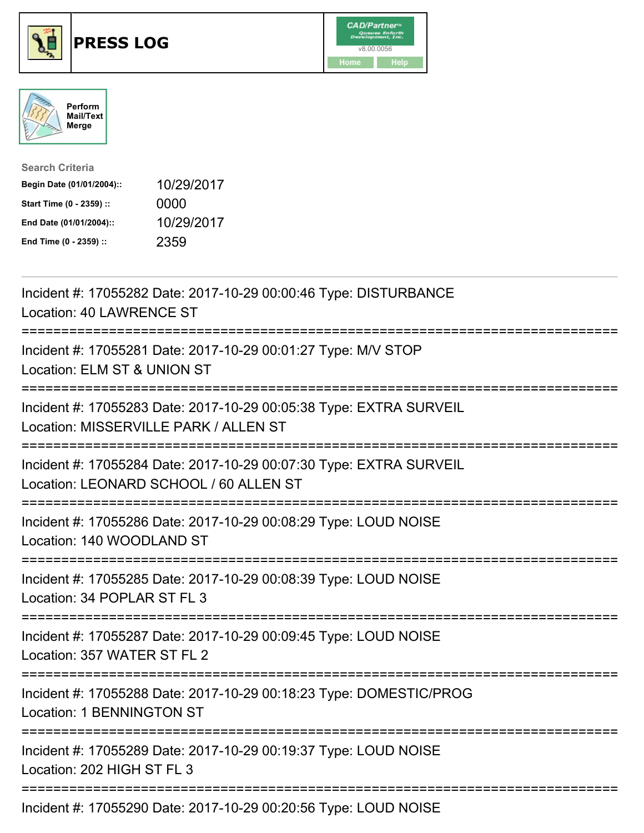

## **PRESS LOG** v8.00.0056





| <b>Search Criteria</b>    |            |
|---------------------------|------------|
| Begin Date (01/01/2004):: | 10/29/2017 |
| Start Time (0 - 2359) ::  | 0000       |
| End Date (01/01/2004)::   | 10/29/2017 |
| End Time (0 - 2359) ::    | 2359       |

Incident #: 17055282 Date: 2017-10-29 00:00:46 Type: DISTURBANCE Location: 40 LAWRENCE ST =========================================================================== Incident #: 17055281 Date: 2017-10-29 00:01:27 Type: M/V STOP Location: ELM ST & UNION ST =========================================================================== Incident #: 17055283 Date: 2017-10-29 00:05:38 Type: EXTRA SURVEIL Location: MISSERVILLE PARK / ALLEN ST =========================================================================== Incident #: 17055284 Date: 2017-10-29 00:07:30 Type: EXTRA SURVEIL Location: LEONARD SCHOOL / 60 ALLEN ST =========================================================================== Incident #: 17055286 Date: 2017-10-29 00:08:29 Type: LOUD NOISE Location: 140 WOODLAND ST =========================================================================== Incident #: 17055285 Date: 2017-10-29 00:08:39 Type: LOUD NOISE Location: 34 POPLAR ST FL 3 =========================================================================== Incident #: 17055287 Date: 2017-10-29 00:09:45 Type: LOUD NOISE Location: 357 WATER ST FL 2 =========================================================================== Incident #: 17055288 Date: 2017-10-29 00:18:23 Type: DOMESTIC/PROG Location: 1 BENNINGTON ST =========================================================================== Incident #: 17055289 Date: 2017-10-29 00:19:37 Type: LOUD NOISE Location: 202 HIGH ST FL 3 =========================================================================== Incident #: 17055290 Date: 2017-10-29 00:20:56 Type: LOUD NOISE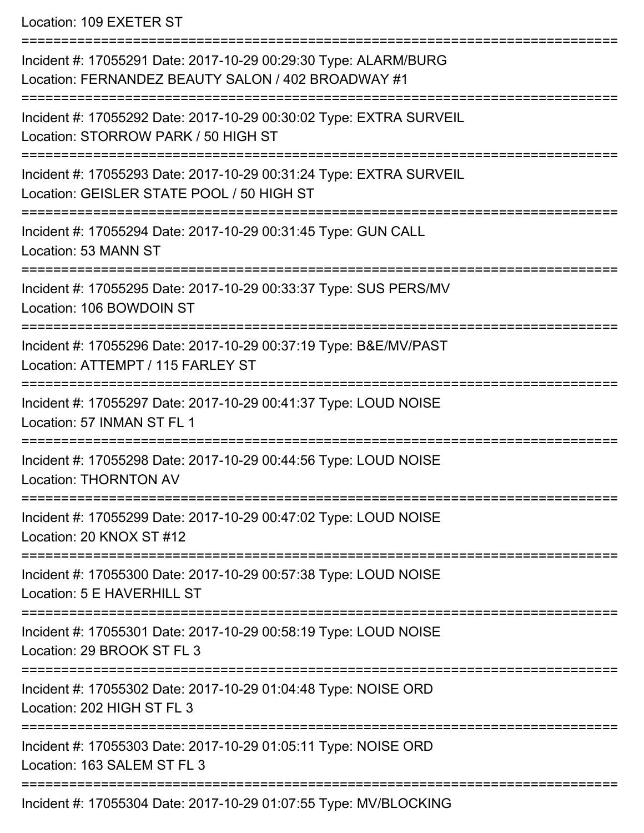Location: 109 EXETER ST

| Incident #: 17055291 Date: 2017-10-29 00:29:30 Type: ALARM/BURG<br>Location: FERNANDEZ BEAUTY SALON / 402 BROADWAY #1 |
|-----------------------------------------------------------------------------------------------------------------------|
| Incident #: 17055292 Date: 2017-10-29 00:30:02 Type: EXTRA SURVEIL<br>Location: STORROW PARK / 50 HIGH ST             |
| Incident #: 17055293 Date: 2017-10-29 00:31:24 Type: EXTRA SURVEIL<br>Location: GEISLER STATE POOL / 50 HIGH ST       |
| Incident #: 17055294 Date: 2017-10-29 00:31:45 Type: GUN CALL<br>Location: 53 MANN ST                                 |
| Incident #: 17055295 Date: 2017-10-29 00:33:37 Type: SUS PERS/MV<br>Location: 106 BOWDOIN ST                          |
| Incident #: 17055296 Date: 2017-10-29 00:37:19 Type: B&E/MV/PAST<br>Location: ATTEMPT / 115 FARLEY ST                 |
| Incident #: 17055297 Date: 2017-10-29 00:41:37 Type: LOUD NOISE<br>Location: 57 INMAN ST FL 1                         |
| Incident #: 17055298 Date: 2017-10-29 00:44:56 Type: LOUD NOISE<br><b>Location: THORNTON AV</b>                       |
| Incident #: 17055299 Date: 2017-10-29 00:47:02 Type: LOUD NOISE<br>Location: 20 KNOX ST #12                           |
| Incident #: 17055300 Date: 2017-10-29 00:57:38 Type: LOUD NOISE<br>Location: 5 E HAVERHILL ST                         |
| Incident #: 17055301 Date: 2017-10-29 00:58:19 Type: LOUD NOISE<br>Location: 29 BROOK ST FL 3                         |
| Incident #: 17055302 Date: 2017-10-29 01:04:48 Type: NOISE ORD<br>Location: 202 HIGH ST FL 3                          |
| Incident #: 17055303 Date: 2017-10-29 01:05:11 Type: NOISE ORD<br>Location: 163 SALEM ST FL 3                         |
| Incident #: 17055304 Date: 2017-10-29 01:07:55 Type: MV/BLOCKING                                                      |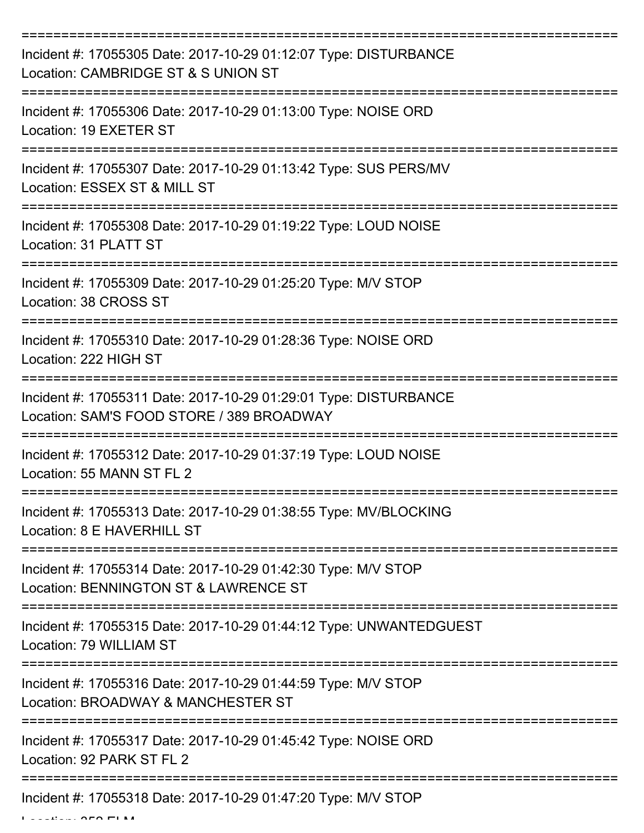| Incident #: 17055305 Date: 2017-10-29 01:12:07 Type: DISTURBANCE<br>Location: CAMBRIDGE ST & S UNION ST       |
|---------------------------------------------------------------------------------------------------------------|
| Incident #: 17055306 Date: 2017-10-29 01:13:00 Type: NOISE ORD<br>Location: 19 EXETER ST                      |
| Incident #: 17055307 Date: 2017-10-29 01:13:42 Type: SUS PERS/MV<br>Location: ESSEX ST & MILL ST              |
| Incident #: 17055308 Date: 2017-10-29 01:19:22 Type: LOUD NOISE<br>Location: 31 PLATT ST                      |
| Incident #: 17055309 Date: 2017-10-29 01:25:20 Type: M/V STOP<br>Location: 38 CROSS ST                        |
| Incident #: 17055310 Date: 2017-10-29 01:28:36 Type: NOISE ORD<br>Location: 222 HIGH ST                       |
| Incident #: 17055311 Date: 2017-10-29 01:29:01 Type: DISTURBANCE<br>Location: SAM'S FOOD STORE / 389 BROADWAY |
| Incident #: 17055312 Date: 2017-10-29 01:37:19 Type: LOUD NOISE<br>Location: 55 MANN ST FL 2                  |
| Incident #: 17055313 Date: 2017-10-29 01:38:55 Type: MV/BLOCKING<br>Location: 8 E HAVERHILL ST                |
| Incident #: 17055314 Date: 2017-10-29 01:42:30 Type: M/V STOP<br>Location: BENNINGTON ST & LAWRENCE ST        |
| Incident #: 17055315 Date: 2017-10-29 01:44:12 Type: UNWANTEDGUEST<br>Location: 79 WILLIAM ST                 |
| Incident #: 17055316 Date: 2017-10-29 01:44:59 Type: M/V STOP<br>Location: BROADWAY & MANCHESTER ST           |
| Incident #: 17055317 Date: 2017-10-29 01:45:42 Type: NOISE ORD<br>Location: 92 PARK ST FL 2                   |
| Incident #: 17055318 Date: 2017-10-29 01:47:20 Type: M/V STOP                                                 |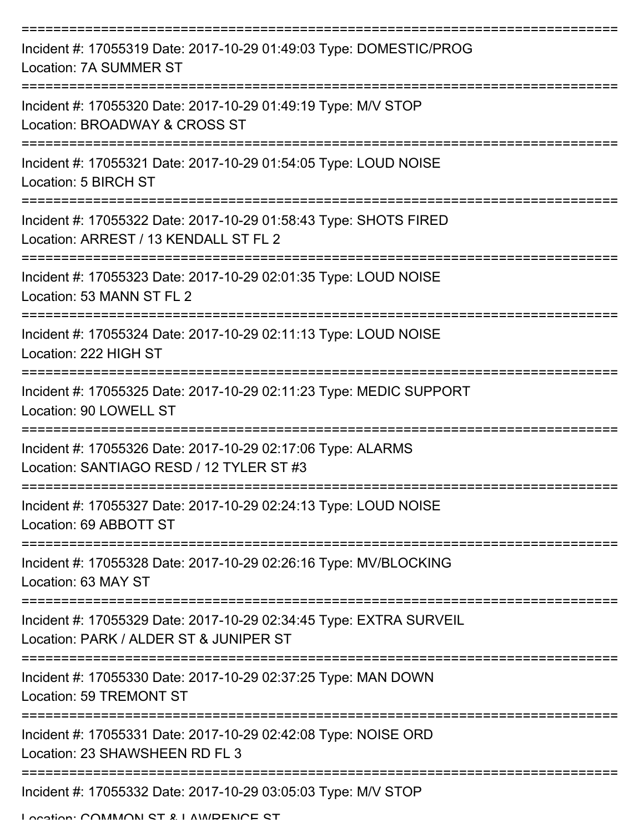| Incident #: 17055319 Date: 2017-10-29 01:49:03 Type: DOMESTIC/PROG<br>Location: 7A SUMMER ST                                     |
|----------------------------------------------------------------------------------------------------------------------------------|
| Incident #: 17055320 Date: 2017-10-29 01:49:19 Type: M/V STOP<br>Location: BROADWAY & CROSS ST                                   |
| Incident #: 17055321 Date: 2017-10-29 01:54:05 Type: LOUD NOISE<br>Location: 5 BIRCH ST                                          |
| Incident #: 17055322 Date: 2017-10-29 01:58:43 Type: SHOTS FIRED<br>Location: ARREST / 13 KENDALL ST FL 2                        |
| Incident #: 17055323 Date: 2017-10-29 02:01:35 Type: LOUD NOISE<br>Location: 53 MANN ST FL 2<br>================================ |
| Incident #: 17055324 Date: 2017-10-29 02:11:13 Type: LOUD NOISE<br>Location: 222 HIGH ST                                         |
| Incident #: 17055325 Date: 2017-10-29 02:11:23 Type: MEDIC SUPPORT<br>Location: 90 LOWELL ST                                     |
| ==========<br>Incident #: 17055326 Date: 2017-10-29 02:17:06 Type: ALARMS<br>Location: SANTIAGO RESD / 12 TYLER ST #3            |
| Incident #: 17055327 Date: 2017-10-29 02:24:13 Type: LOUD NOISE<br>Location: 69 ABBOTT ST                                        |
| Incident #: 17055328 Date: 2017-10-29 02:26:16 Type: MV/BLOCKING<br>Location: 63 MAY ST                                          |
| Incident #: 17055329 Date: 2017-10-29 02:34:45 Type: EXTRA SURVEIL<br>Location: PARK / ALDER ST & JUNIPER ST                     |
| Incident #: 17055330 Date: 2017-10-29 02:37:25 Type: MAN DOWN<br>Location: 59 TREMONT ST                                         |
| Incident #: 17055331 Date: 2017-10-29 02:42:08 Type: NOISE ORD<br>Location: 23 SHAWSHEEN RD FL 3                                 |
| Incident #: 17055332 Date: 2017-10-29 03:05:03 Type: M/V STOP                                                                    |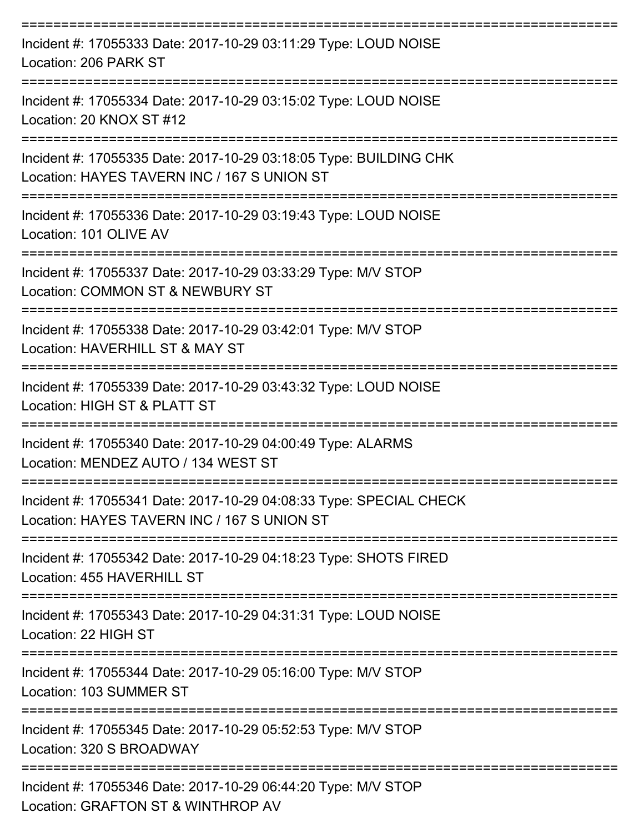| Incident #: 17055333 Date: 2017-10-29 03:11:29 Type: LOUD NOISE<br>Location: 206 PARK ST                          |
|-------------------------------------------------------------------------------------------------------------------|
| Incident #: 17055334 Date: 2017-10-29 03:15:02 Type: LOUD NOISE<br>Location: 20 KNOX ST #12                       |
| Incident #: 17055335 Date: 2017-10-29 03:18:05 Type: BUILDING CHK<br>Location: HAYES TAVERN INC / 167 S UNION ST  |
| Incident #: 17055336 Date: 2017-10-29 03:19:43 Type: LOUD NOISE<br>Location: 101 OLIVE AV<br>------------------   |
| Incident #: 17055337 Date: 2017-10-29 03:33:29 Type: M/V STOP<br>Location: COMMON ST & NEWBURY ST                 |
| Incident #: 17055338 Date: 2017-10-29 03:42:01 Type: M/V STOP<br>Location: HAVERHILL ST & MAY ST                  |
| Incident #: 17055339 Date: 2017-10-29 03:43:32 Type: LOUD NOISE<br>Location: HIGH ST & PLATT ST                   |
| Incident #: 17055340 Date: 2017-10-29 04:00:49 Type: ALARMS<br>Location: MENDEZ AUTO / 134 WEST ST                |
| Incident #: 17055341 Date: 2017-10-29 04:08:33 Type: SPECIAL CHECK<br>Location: HAYES TAVERN INC / 167 S UNION ST |
| Incident #: 17055342 Date: 2017-10-29 04:18:23 Type: SHOTS FIRED<br>Location: 455 HAVERHILL ST                    |
| Incident #: 17055343 Date: 2017-10-29 04:31:31 Type: LOUD NOISE<br>Location: 22 HIGH ST                           |
| Incident #: 17055344 Date: 2017-10-29 05:16:00 Type: M/V STOP<br>Location: 103 SUMMER ST                          |
| Incident #: 17055345 Date: 2017-10-29 05:52:53 Type: M/V STOP<br>Location: 320 S BROADWAY                         |
| Incident #: 17055346 Date: 2017-10-29 06:44:20 Type: M/V STOP<br>Location: GRAFTON ST & WINTHROP AV               |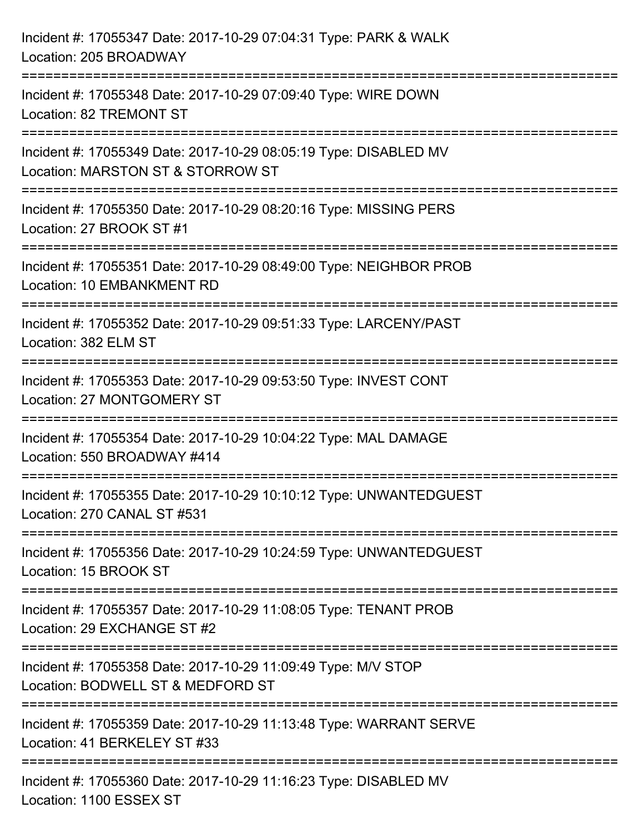| Incident #: 17055347 Date: 2017-10-29 07:04:31 Type: PARK & WALK<br>Location: 205 BROADWAY            |
|-------------------------------------------------------------------------------------------------------|
| Incident #: 17055348 Date: 2017-10-29 07:09:40 Type: WIRE DOWN<br>Location: 82 TREMONT ST             |
| Incident #: 17055349 Date: 2017-10-29 08:05:19 Type: DISABLED MV<br>Location: MARSTON ST & STORROW ST |
| Incident #: 17055350 Date: 2017-10-29 08:20:16 Type: MISSING PERS<br>Location: 27 BROOK ST #1         |
| Incident #: 17055351 Date: 2017-10-29 08:49:00 Type: NEIGHBOR PROB<br>Location: 10 EMBANKMENT RD      |
| Incident #: 17055352 Date: 2017-10-29 09:51:33 Type: LARCENY/PAST<br>Location: 382 ELM ST             |
| Incident #: 17055353 Date: 2017-10-29 09:53:50 Type: INVEST CONT<br>Location: 27 MONTGOMERY ST        |
| Incident #: 17055354 Date: 2017-10-29 10:04:22 Type: MAL DAMAGE<br>Location: 550 BROADWAY #414        |
| Incident #: 17055355 Date: 2017-10-29 10:10:12 Type: UNWANTEDGUEST<br>Location: 270 CANAL ST #531     |
| Incident #: 17055356 Date: 2017-10-29 10:24:59 Type: UNWANTEDGUEST<br>Location: 15 BROOK ST           |
| Incident #: 17055357 Date: 2017-10-29 11:08:05 Type: TENANT PROB<br>Location: 29 EXCHANGE ST #2       |
| Incident #: 17055358 Date: 2017-10-29 11:09:49 Type: M/V STOP<br>Location: BODWELL ST & MEDFORD ST    |
| Incident #: 17055359 Date: 2017-10-29 11:13:48 Type: WARRANT SERVE<br>Location: 41 BERKELEY ST #33    |
| Incident #: 17055360 Date: 2017-10-29 11:16:23 Type: DISABLED MV<br>Location: 1100 ESSEX ST           |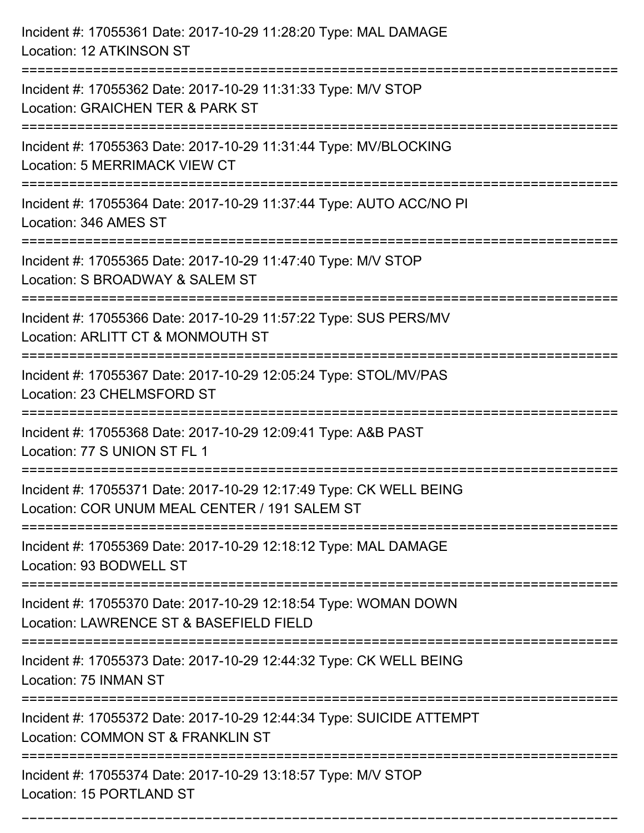| Incident #: 17055361 Date: 2017-10-29 11:28:20 Type: MAL DAMAGE<br>Location: 12 ATKINSON ST                                                    |
|------------------------------------------------------------------------------------------------------------------------------------------------|
| Incident #: 17055362 Date: 2017-10-29 11:31:33 Type: M/V STOP<br>Location: GRAICHEN TER & PARK ST                                              |
| Incident #: 17055363 Date: 2017-10-29 11:31:44 Type: MV/BLOCKING<br><b>Location: 5 MERRIMACK VIEW CT</b><br>================================== |
| Incident #: 17055364 Date: 2017-10-29 11:37:44 Type: AUTO ACC/NO PI<br>Location: 346 AMES ST                                                   |
| Incident #: 17055365 Date: 2017-10-29 11:47:40 Type: M/V STOP<br>Location: S BROADWAY & SALEM ST                                               |
| Incident #: 17055366 Date: 2017-10-29 11:57:22 Type: SUS PERS/MV<br>Location: ARLITT CT & MONMOUTH ST<br>:=======================              |
| Incident #: 17055367 Date: 2017-10-29 12:05:24 Type: STOL/MV/PAS<br>Location: 23 CHELMSFORD ST                                                 |
| Incident #: 17055368 Date: 2017-10-29 12:09:41 Type: A&B PAST<br>Location: 77 S UNION ST FL 1                                                  |
| Incident #: 17055371 Date: 2017-10-29 12:17:49 Type: CK WELL BEING<br>Location: COR UNUM MEAL CENTER / 191 SALEM ST                            |
| Incident #: 17055369 Date: 2017-10-29 12:18:12 Type: MAL DAMAGE<br>Location: 93 BODWELL ST                                                     |
| Incident #: 17055370 Date: 2017-10-29 12:18:54 Type: WOMAN DOWN<br>Location: LAWRENCE ST & BASEFIELD FIELD                                     |
| Incident #: 17055373 Date: 2017-10-29 12:44:32 Type: CK WELL BEING<br>Location: 75 INMAN ST                                                    |
| Incident #: 17055372 Date: 2017-10-29 12:44:34 Type: SUICIDE ATTEMPT<br>Location: COMMON ST & FRANKLIN ST                                      |
| Incident #: 17055374 Date: 2017-10-29 13:18:57 Type: M/V STOP<br>Location: 15 PORTLAND ST                                                      |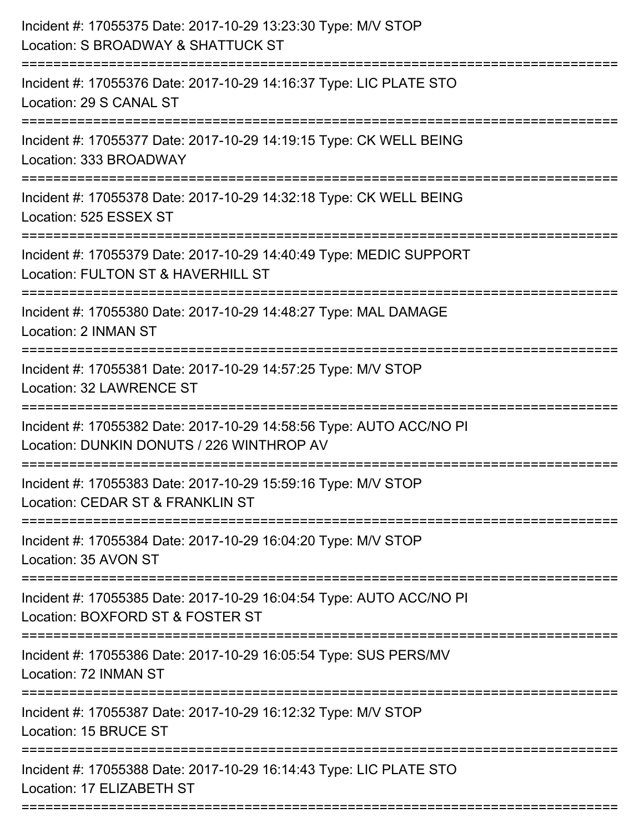| Incident #: 17055375 Date: 2017-10-29 13:23:30 Type: M/V STOP<br>Location: S BROADWAY & SHATTUCK ST<br>----------------------- |
|--------------------------------------------------------------------------------------------------------------------------------|
| Incident #: 17055376 Date: 2017-10-29 14:16:37 Type: LIC PLATE STO<br>Location: 29 S CANAL ST                                  |
| Incident #: 17055377 Date: 2017-10-29 14:19:15 Type: CK WELL BEING<br>Location: 333 BROADWAY                                   |
| Incident #: 17055378 Date: 2017-10-29 14:32:18 Type: CK WELL BEING<br>Location: 525 ESSEX ST                                   |
| Incident #: 17055379 Date: 2017-10-29 14:40:49 Type: MEDIC SUPPORT<br>Location: FULTON ST & HAVERHILL ST<br>================== |
| Incident #: 17055380 Date: 2017-10-29 14:48:27 Type: MAL DAMAGE<br>Location: 2 INMAN ST                                        |
| Incident #: 17055381 Date: 2017-10-29 14:57:25 Type: M/V STOP<br><b>Location: 32 LAWRENCE ST</b>                               |
| Incident #: 17055382 Date: 2017-10-29 14:58:56 Type: AUTO ACC/NO PI<br>Location: DUNKIN DONUTS / 226 WINTHROP AV               |
| Incident #: 17055383 Date: 2017-10-29 15:59:16 Type: M/V STOP<br>Location: CEDAR ST & FRANKLIN ST                              |
| Incident #: 17055384 Date: 2017-10-29 16:04:20 Type: M/V STOP<br>Location: 35 AVON ST                                          |
| Incident #: 17055385 Date: 2017-10-29 16:04:54 Type: AUTO ACC/NO PI<br>Location: BOXFORD ST & FOSTER ST                        |
| Incident #: 17055386 Date: 2017-10-29 16:05:54 Type: SUS PERS/MV<br>Location: 72 INMAN ST                                      |
| Incident #: 17055387 Date: 2017-10-29 16:12:32 Type: M/V STOP<br>Location: 15 BRUCE ST                                         |
| Incident #: 17055388 Date: 2017-10-29 16:14:43 Type: LIC PLATE STO<br>Location: 17 ELIZABETH ST                                |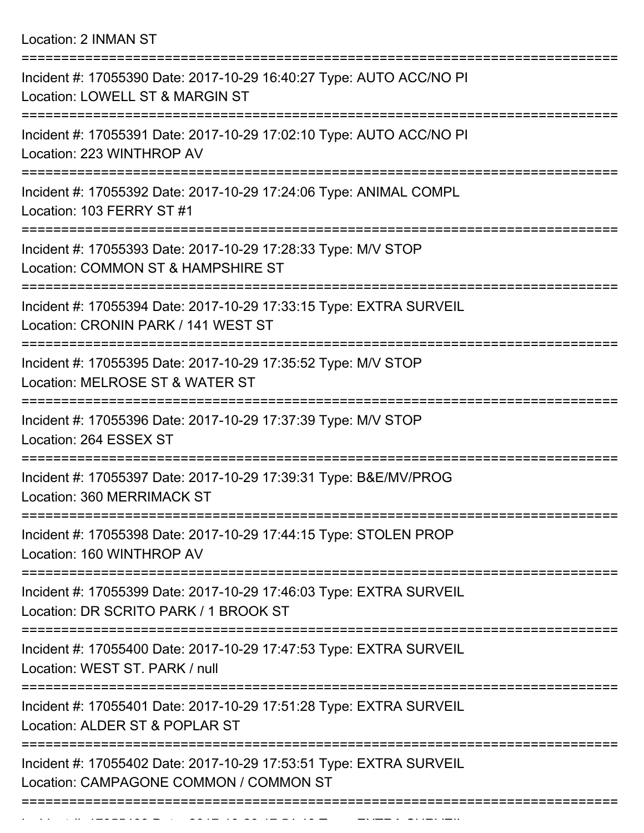Location: 2 INMAN ST

| Incident #: 17055390 Date: 2017-10-29 16:40:27 Type: AUTO ACC/NO PI<br>Location: LOWELL ST & MARGIN ST                    |
|---------------------------------------------------------------------------------------------------------------------------|
| Incident #: 17055391 Date: 2017-10-29 17:02:10 Type: AUTO ACC/NO PI<br>Location: 223 WINTHROP AV                          |
| Incident #: 17055392 Date: 2017-10-29 17:24:06 Type: ANIMAL COMPL<br>Location: 103 FERRY ST #1                            |
| Incident #: 17055393 Date: 2017-10-29 17:28:33 Type: M/V STOP<br>Location: COMMON ST & HAMPSHIRE ST                       |
| Incident #: 17055394 Date: 2017-10-29 17:33:15 Type: EXTRA SURVEIL<br>Location: CRONIN PARK / 141 WEST ST                 |
| :====================<br>Incident #: 17055395 Date: 2017-10-29 17:35:52 Type: M/V STOP<br>Location: MELROSE ST & WATER ST |
| Incident #: 17055396 Date: 2017-10-29 17:37:39 Type: M/V STOP<br>Location: 264 ESSEX ST                                   |
| Incident #: 17055397 Date: 2017-10-29 17:39:31 Type: B&E/MV/PROG<br>Location: 360 MERRIMACK ST                            |
| Incident #: 17055398 Date: 2017-10-29 17:44:15 Type: STOLEN PROP<br>Location: 160 WINTHROP AV                             |
| Incident #: 17055399 Date: 2017-10-29 17:46:03 Type: EXTRA SURVEIL<br>Location: DR SCRITO PARK / 1 BROOK ST               |
| Incident #: 17055400 Date: 2017-10-29 17:47:53 Type: EXTRA SURVEIL<br>Location: WEST ST. PARK / null                      |
| Incident #: 17055401 Date: 2017-10-29 17:51:28 Type: EXTRA SURVEIL<br>Location: ALDER ST & POPLAR ST                      |
| Incident #: 17055402 Date: 2017-10-29 17:53:51 Type: EXTRA SURVEIL<br>Location: CAMPAGONE COMMON / COMMON ST              |
|                                                                                                                           |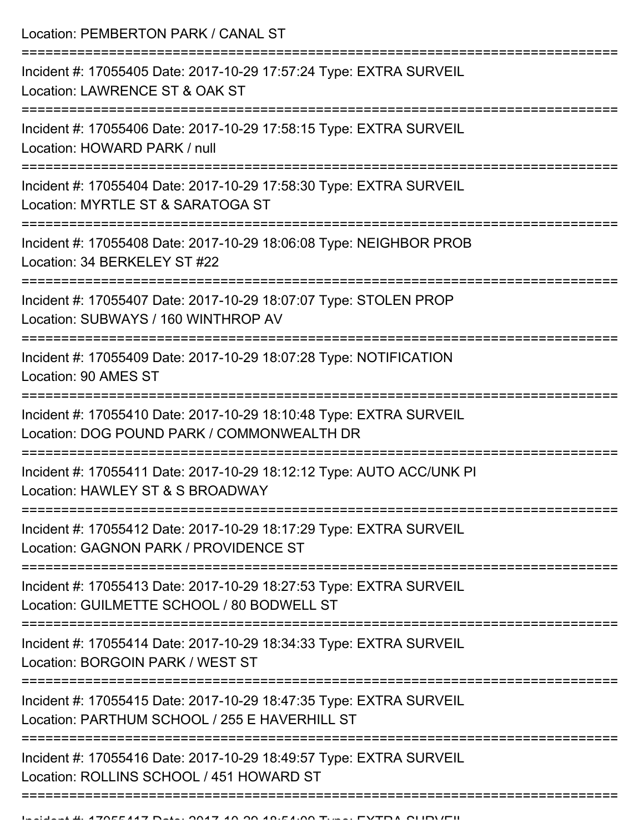Location: PEMBERTON PARK / CANAL ST

| Incident #: 17055405 Date: 2017-10-29 17:57:24 Type: EXTRA SURVEIL<br>Location: LAWRENCE ST & OAK ST                |
|---------------------------------------------------------------------------------------------------------------------|
| Incident #: 17055406 Date: 2017-10-29 17:58:15 Type: EXTRA SURVEIL<br>Location: HOWARD PARK / null                  |
| Incident #: 17055404 Date: 2017-10-29 17:58:30 Type: EXTRA SURVEIL<br>Location: MYRTLE ST & SARATOGA ST             |
| Incident #: 17055408 Date: 2017-10-29 18:06:08 Type: NEIGHBOR PROB<br>Location: 34 BERKELEY ST #22                  |
| Incident #: 17055407 Date: 2017-10-29 18:07:07 Type: STOLEN PROP<br>Location: SUBWAYS / 160 WINTHROP AV             |
| Incident #: 17055409 Date: 2017-10-29 18:07:28 Type: NOTIFICATION<br>Location: 90 AMES ST                           |
| Incident #: 17055410 Date: 2017-10-29 18:10:48 Type: EXTRA SURVEIL<br>Location: DOG POUND PARK / COMMONWEALTH DR    |
| Incident #: 17055411 Date: 2017-10-29 18:12:12 Type: AUTO ACC/UNK PI<br>Location: HAWLEY ST & S BROADWAY            |
| Incident #: 17055412 Date: 2017-10-29 18:17:29 Type: EXTRA SURVEIL<br>Location: GAGNON PARK / PROVIDENCE ST         |
| Incident #: 17055413 Date: 2017-10-29 18:27:53 Type: EXTRA SURVEIL<br>Location: GUILMETTE SCHOOL / 80 BODWELL ST    |
| Incident #: 17055414 Date: 2017-10-29 18:34:33 Type: EXTRA SURVEIL<br>Location: BORGOIN PARK / WEST ST              |
| Incident #: 17055415 Date: 2017-10-29 18:47:35 Type: EXTRA SURVEIL<br>Location: PARTHUM SCHOOL / 255 E HAVERHILL ST |
| Incident #: 17055416 Date: 2017-10-29 18:49:57 Type: EXTRA SURVEIL<br>Location: ROLLINS SCHOOL / 451 HOWARD ST      |
|                                                                                                                     |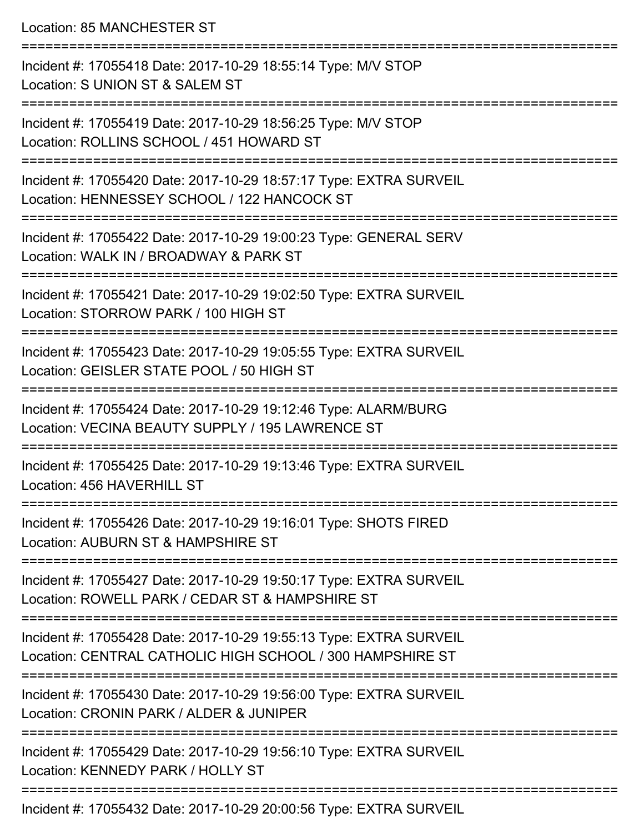Location: 85 MANCHESTER ST

=========================================================================== Incident #: 17055418 Date: 2017-10-29 18:55:14 Type: M/V STOP Location: S UNION ST & SALEM ST =========================================================================== Incident #: 17055419 Date: 2017-10-29 18:56:25 Type: M/V STOP Location: ROLLINS SCHOOL / 451 HOWARD ST =========================================================================== Incident #: 17055420 Date: 2017-10-29 18:57:17 Type: EXTRA SURVEIL Location: HENNESSEY SCHOOL / 122 HANCOCK ST =========================================================================== Incident #: 17055422 Date: 2017-10-29 19:00:23 Type: GENERAL SERV Location: WALK IN / BROADWAY & PARK ST =========================================================================== Incident #: 17055421 Date: 2017-10-29 19:02:50 Type: EXTRA SURVEIL Location: STORROW PARK / 100 HIGH ST =========================================================================== Incident #: 17055423 Date: 2017-10-29 19:05:55 Type: EXTRA SURVEIL Location: GEISLER STATE POOL / 50 HIGH ST =========================================================================== Incident #: 17055424 Date: 2017-10-29 19:12:46 Type: ALARM/BURG Location: VECINA BEAUTY SUPPLY / 195 LAWRENCE ST =========================================================================== Incident #: 17055425 Date: 2017-10-29 19:13:46 Type: EXTRA SURVEIL Location: 456 HAVERHILL ST =========================================================================== Incident #: 17055426 Date: 2017-10-29 19:16:01 Type: SHOTS FIRED Location: AUBURN ST & HAMPSHIRE ST =========================================================================== Incident #: 17055427 Date: 2017-10-29 19:50:17 Type: EXTRA SURVEIL Location: ROWELL PARK / CEDAR ST & HAMPSHIRE ST =========================================================================== Incident #: 17055428 Date: 2017-10-29 19:55:13 Type: EXTRA SURVEIL Location: CENTRAL CATHOLIC HIGH SCHOOL / 300 HAMPSHIRE ST =========================================================================== Incident #: 17055430 Date: 2017-10-29 19:56:00 Type: EXTRA SURVEIL Location: CRONIN PARK / ALDER & JUNIPER =========================================================================== Incident #: 17055429 Date: 2017-10-29 19:56:10 Type: EXTRA SURVEIL Location: KENNEDY PARK / HOLLY ST ===========================================================================

Incident #: 17055432 Date: 2017-10-29 20:00:56 Type: EXTRA SURVEIL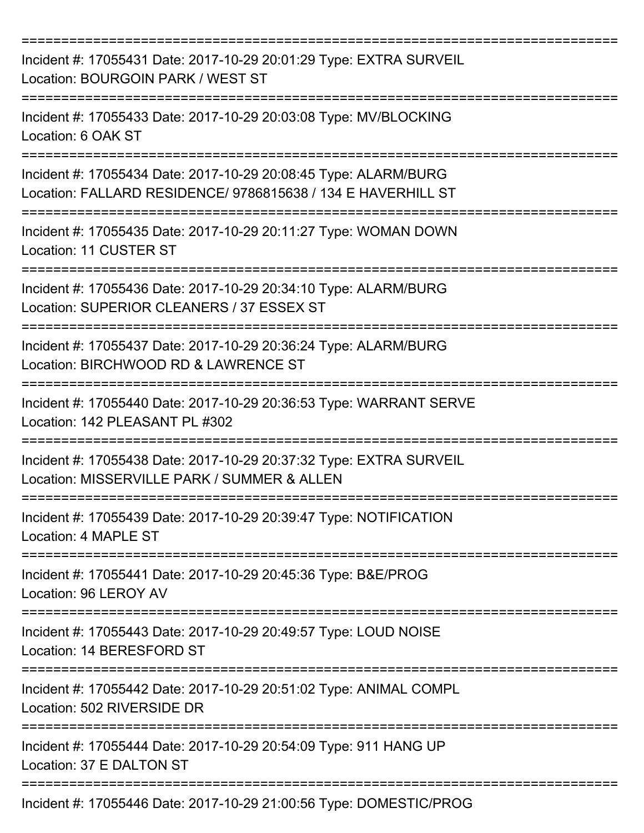| Incident #: 17055431 Date: 2017-10-29 20:01:29 Type: EXTRA SURVEIL<br>Location: BOURGOIN PARK / WEST ST<br>===============      |
|---------------------------------------------------------------------------------------------------------------------------------|
| Incident #: 17055433 Date: 2017-10-29 20:03:08 Type: MV/BLOCKING<br>Location: 6 OAK ST<br>==================                    |
| Incident #: 17055434 Date: 2017-10-29 20:08:45 Type: ALARM/BURG<br>Location: FALLARD RESIDENCE/ 9786815638 / 134 E HAVERHILL ST |
| Incident #: 17055435 Date: 2017-10-29 20:11:27 Type: WOMAN DOWN<br>Location: 11 CUSTER ST                                       |
| Incident #: 17055436 Date: 2017-10-29 20:34:10 Type: ALARM/BURG<br>Location: SUPERIOR CLEANERS / 37 ESSEX ST                    |
| Incident #: 17055437 Date: 2017-10-29 20:36:24 Type: ALARM/BURG<br>Location: BIRCHWOOD RD & LAWRENCE ST                         |
| Incident #: 17055440 Date: 2017-10-29 20:36:53 Type: WARRANT SERVE<br>Location: 142 PLEASANT PL #302                            |
| Incident #: 17055438 Date: 2017-10-29 20:37:32 Type: EXTRA SURVEIL<br>Location: MISSERVILLE PARK / SUMMER & ALLEN               |
| Incident #: 17055439 Date: 2017-10-29 20:39:47 Type: NOTIFICATION<br>Location: 4 MAPLE ST                                       |
| Incident #: 17055441 Date: 2017-10-29 20:45:36 Type: B&E/PROG<br>Location: 96 LEROY AV                                          |
| Incident #: 17055443 Date: 2017-10-29 20:49:57 Type: LOUD NOISE<br>Location: 14 BERESFORD ST                                    |
| Incident #: 17055442 Date: 2017-10-29 20:51:02 Type: ANIMAL COMPL<br>Location: 502 RIVERSIDE DR                                 |
| Incident #: 17055444 Date: 2017-10-29 20:54:09 Type: 911 HANG UP<br>Location: 37 E DALTON ST                                    |
| Incident #: 17055446 Date: 2017-10-29 21:00:56 Type: DOMESTIC/PROG                                                              |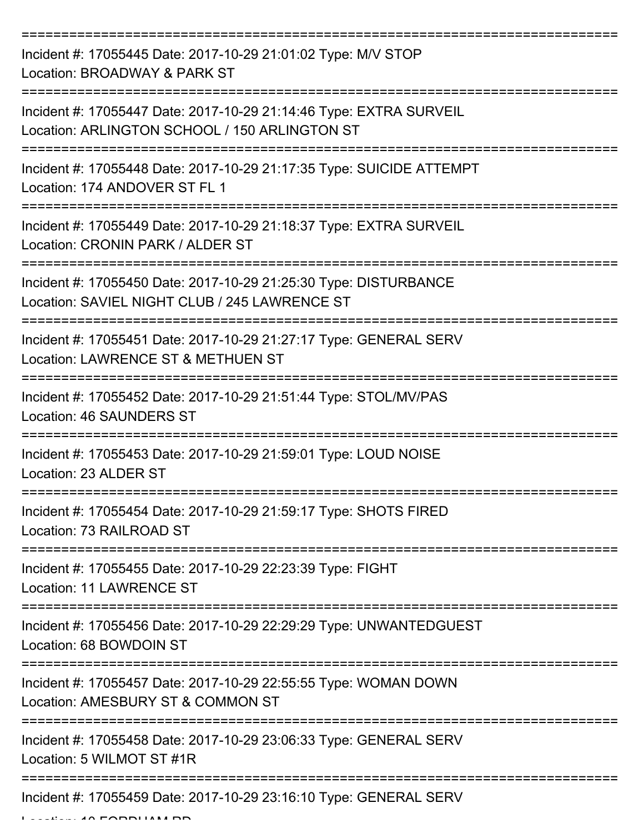| Incident #: 17055445 Date: 2017-10-29 21:01:02 Type: M/V STOP<br>Location: BROADWAY & PARK ST                       |
|---------------------------------------------------------------------------------------------------------------------|
| Incident #: 17055447 Date: 2017-10-29 21:14:46 Type: EXTRA SURVEIL<br>Location: ARLINGTON SCHOOL / 150 ARLINGTON ST |
| Incident #: 17055448 Date: 2017-10-29 21:17:35 Type: SUICIDE ATTEMPT<br>Location: 174 ANDOVER ST FL 1               |
| Incident #: 17055449 Date: 2017-10-29 21:18:37 Type: EXTRA SURVEIL<br>Location: CRONIN PARK / ALDER ST              |
| Incident #: 17055450 Date: 2017-10-29 21:25:30 Type: DISTURBANCE<br>Location: SAVIEL NIGHT CLUB / 245 LAWRENCE ST   |
| Incident #: 17055451 Date: 2017-10-29 21:27:17 Type: GENERAL SERV<br>Location: LAWRENCE ST & METHUEN ST             |
| Incident #: 17055452 Date: 2017-10-29 21:51:44 Type: STOL/MV/PAS<br><b>Location: 46 SAUNDERS ST</b>                 |
| Incident #: 17055453 Date: 2017-10-29 21:59:01 Type: LOUD NOISE<br>Location: 23 ALDER ST                            |
| Incident #: 17055454 Date: 2017-10-29 21:59:17 Type: SHOTS FIRED<br>Location: 73 RAILROAD ST                        |
| ==================<br>Incident #: 17055455 Date: 2017-10-29 22:23:39 Type: FIGHT<br><b>Location: 11 LAWRENCE ST</b> |
| Incident #: 17055456 Date: 2017-10-29 22:29:29 Type: UNWANTEDGUEST<br>Location: 68 BOWDOIN ST                       |
| Incident #: 17055457 Date: 2017-10-29 22:55:55 Type: WOMAN DOWN<br>Location: AMESBURY ST & COMMON ST                |
| Incident #: 17055458 Date: 2017-10-29 23:06:33 Type: GENERAL SERV<br>Location: 5 WILMOT ST #1R                      |
| Incident #: 17055459 Date: 2017-10-29 23:16:10 Type: GENERAL SERV                                                   |

Location: 10 FORDHAM RD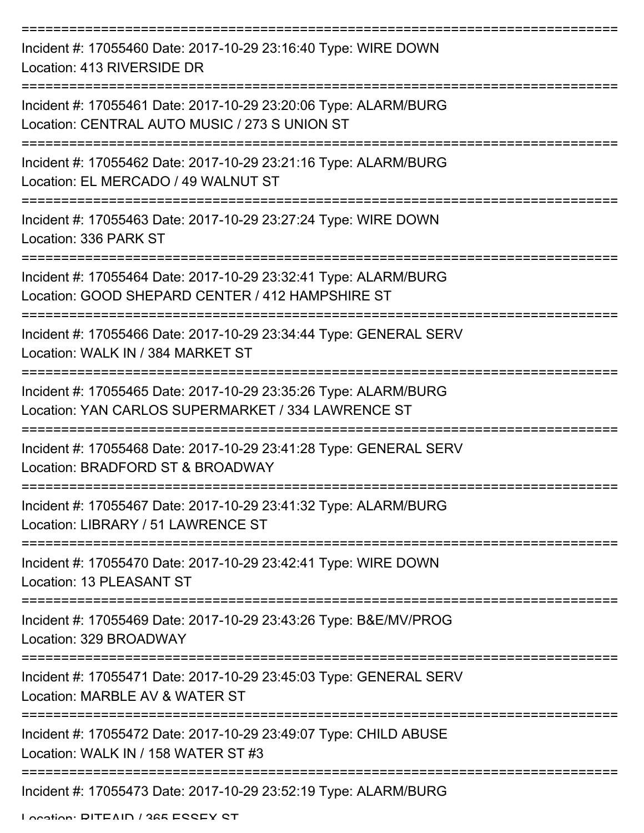| Incident #: 17055460 Date: 2017-10-29 23:16:40 Type: WIRE DOWN<br>Location: 413 RIVERSIDE DR                                                  |
|-----------------------------------------------------------------------------------------------------------------------------------------------|
| Incident #: 17055461 Date: 2017-10-29 23:20:06 Type: ALARM/BURG<br>Location: CENTRAL AUTO MUSIC / 273 S UNION ST                              |
| Incident #: 17055462 Date: 2017-10-29 23:21:16 Type: ALARM/BURG<br>Location: EL MERCADO / 49 WALNUT ST                                        |
| Incident #: 17055463 Date: 2017-10-29 23:27:24 Type: WIRE DOWN<br>Location: 336 PARK ST                                                       |
| ======================<br>Incident #: 17055464 Date: 2017-10-29 23:32:41 Type: ALARM/BURG<br>Location: GOOD SHEPARD CENTER / 412 HAMPSHIRE ST |
| Incident #: 17055466 Date: 2017-10-29 23:34:44 Type: GENERAL SERV<br>Location: WALK IN / 384 MARKET ST                                        |
| Incident #: 17055465 Date: 2017-10-29 23:35:26 Type: ALARM/BURG<br>Location: YAN CARLOS SUPERMARKET / 334 LAWRENCE ST                         |
| Incident #: 17055468 Date: 2017-10-29 23:41:28 Type: GENERAL SERV<br>Location: BRADFORD ST & BROADWAY                                         |
| Incident #: 17055467 Date: 2017-10-29 23:41:32 Type: ALARM/BURG<br>Location: LIBRARY / 51 LAWRENCE ST                                         |
| Incident #: 17055470 Date: 2017-10-29 23:42:41 Type: WIRE DOWN<br>Location: 13 PLEASANT ST                                                    |
| Incident #: 17055469 Date: 2017-10-29 23:43:26 Type: B&E/MV/PROG<br>Location: 329 BROADWAY                                                    |
| Incident #: 17055471 Date: 2017-10-29 23:45:03 Type: GENERAL SERV<br>Location: MARBLE AV & WATER ST                                           |
| Incident #: 17055472 Date: 2017-10-29 23:49:07 Type: CHILD ABUSE<br>Location: WALK IN / 158 WATER ST #3                                       |
| Incident #: 17055473 Date: 2017-10-29 23:52:19 Type: ALARM/BURG                                                                               |

Location: DITEAIN / 365 ESSEY ST